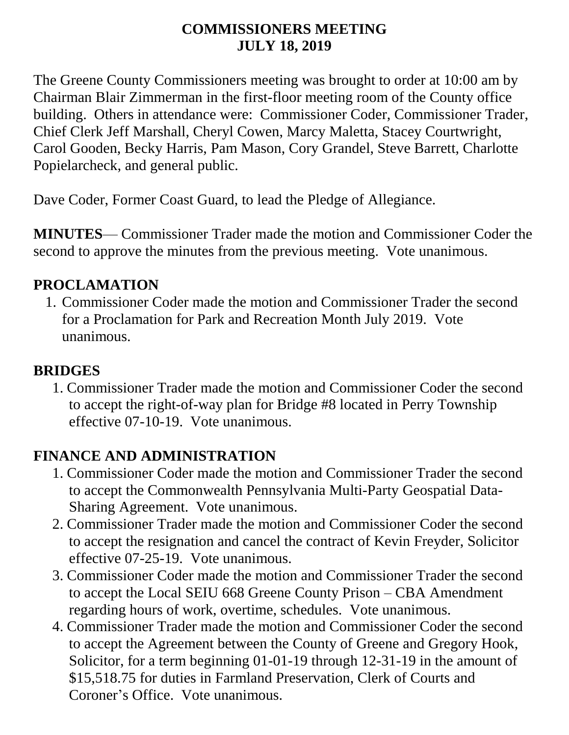#### **COMMISSIONERS MEETING JULY 18, 2019**

The Greene County Commissioners meeting was brought to order at 10:00 am by Chairman Blair Zimmerman in the first-floor meeting room of the County office building. Others in attendance were: Commissioner Coder, Commissioner Trader, Chief Clerk Jeff Marshall, Cheryl Cowen, Marcy Maletta, Stacey Courtwright, Carol Gooden, Becky Harris, Pam Mason, Cory Grandel, Steve Barrett, Charlotte Popielarcheck, and general public.

Dave Coder, Former Coast Guard, to lead the Pledge of Allegiance.

**MINUTES**— Commissioner Trader made the motion and Commissioner Coder the second to approve the minutes from the previous meeting. Vote unanimous.

#### **PROCLAMATION**

1. Commissioner Coder made the motion and Commissioner Trader the second for a Proclamation for Park and Recreation Month July 2019. Vote unanimous.

#### **BRIDGES**

1. Commissioner Trader made the motion and Commissioner Coder the second to accept the right-of-way plan for Bridge #8 located in Perry Township effective 07-10-19. Vote unanimous.

#### **FINANCE AND ADMINISTRATION**

- 1. Commissioner Coder made the motion and Commissioner Trader the second to accept the Commonwealth Pennsylvania Multi-Party Geospatial Data-Sharing Agreement. Vote unanimous.
- 2. Commissioner Trader made the motion and Commissioner Coder the second to accept the resignation and cancel the contract of Kevin Freyder, Solicitor effective 07-25-19. Vote unanimous.
- 3. Commissioner Coder made the motion and Commissioner Trader the second to accept the Local SEIU 668 Greene County Prison – CBA Amendment regarding hours of work, overtime, schedules. Vote unanimous.
- 4. Commissioner Trader made the motion and Commissioner Coder the second to accept the Agreement between the County of Greene and Gregory Hook, Solicitor, for a term beginning 01-01-19 through 12-31-19 in the amount of \$15,518.75 for duties in Farmland Preservation, Clerk of Courts and Coroner's Office. Vote unanimous.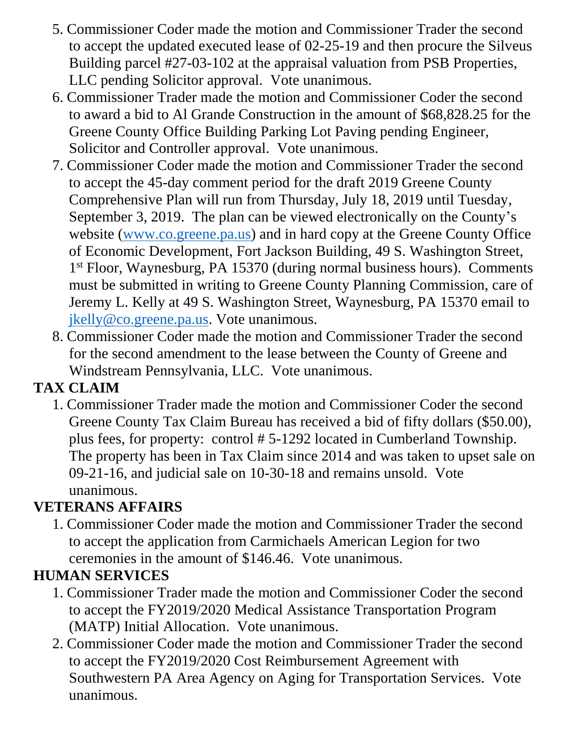- 5. Commissioner Coder made the motion and Commissioner Trader the second to accept the updated executed lease of 02-25-19 and then procure the Silveus Building parcel #27-03-102 at the appraisal valuation from PSB Properties, LLC pending Solicitor approval. Vote unanimous.
- 6. Commissioner Trader made the motion and Commissioner Coder the second to award a bid to Al Grande Construction in the amount of \$68,828.25 for the Greene County Office Building Parking Lot Paving pending Engineer, Solicitor and Controller approval. Vote unanimous.
- 7. Commissioner Coder made the motion and Commissioner Trader the second to accept the 45-day comment period for the draft 2019 Greene County Comprehensive Plan will run from Thursday, July 18, 2019 until Tuesday, September 3, 2019. The plan can be viewed electronically on the County's website [\(www.co.greene.pa.us\)](http://www.co.greene.pa.us/) and in hard copy at the Greene County Office of Economic Development, Fort Jackson Building, 49 S. Washington Street, 1<sup>st</sup> Floor, Waynesburg, PA 15370 (during normal business hours). Comments must be submitted in writing to Greene County Planning Commission, care of Jeremy L. Kelly at 49 S. Washington Street, Waynesburg, PA 15370 email to [jkelly@co.greene.pa.us.](mailto:jkelly@co.greene.pa.us) Vote unanimous.
- 8. Commissioner Coder made the motion and Commissioner Trader the second for the second amendment to the lease between the County of Greene and Windstream Pennsylvania, LLC. Vote unanimous.

## **TAX CLAIM**

1. Commissioner Trader made the motion and Commissioner Coder the second Greene County Tax Claim Bureau has received a bid of fifty dollars (\$50.00), plus fees, for property: control # 5-1292 located in Cumberland Township. The property has been in Tax Claim since 2014 and was taken to upset sale on 09-21-16, and judicial sale on 10-30-18 and remains unsold. Vote unanimous.

## **VETERANS AFFAIRS**

1. Commissioner Coder made the motion and Commissioner Trader the second to accept the application from Carmichaels American Legion for two ceremonies in the amount of \$146.46. Vote unanimous.

## **HUMAN SERVICES**

- 1. Commissioner Trader made the motion and Commissioner Coder the second to accept the FY2019/2020 Medical Assistance Transportation Program (MATP) Initial Allocation. Vote unanimous.
- 2. Commissioner Coder made the motion and Commissioner Trader the second to accept the FY2019/2020 Cost Reimbursement Agreement with Southwestern PA Area Agency on Aging for Transportation Services. Vote unanimous.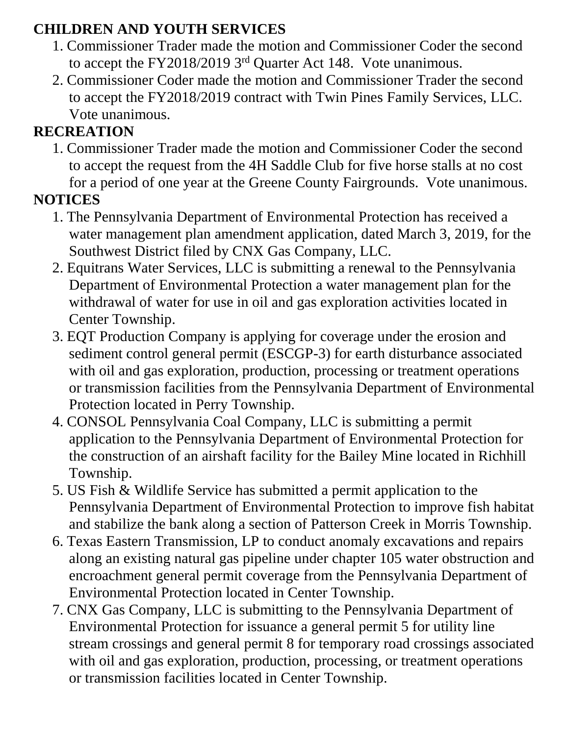## **CHILDREN AND YOUTH SERVICES**

- 1. Commissioner Trader made the motion and Commissioner Coder the second to accept the  $FY2018/2019$  3<sup>rd</sup> Quarter Act 148. Vote unanimous.
- 2. Commissioner Coder made the motion and Commissioner Trader the second to accept the FY2018/2019 contract with Twin Pines Family Services, LLC. Vote unanimous.

# **RECREATION**

1. Commissioner Trader made the motion and Commissioner Coder the second to accept the request from the 4H Saddle Club for five horse stalls at no cost for a period of one year at the Greene County Fairgrounds. Vote unanimous.

## **NOTICES**

- 1. The Pennsylvania Department of Environmental Protection has received a water management plan amendment application, dated March 3, 2019, for the Southwest District filed by CNX Gas Company, LLC.
- 2. Equitrans Water Services, LLC is submitting a renewal to the Pennsylvania Department of Environmental Protection a water management plan for the withdrawal of water for use in oil and gas exploration activities located in Center Township.
- 3. EQT Production Company is applying for coverage under the erosion and sediment control general permit (ESCGP-3) for earth disturbance associated with oil and gas exploration, production, processing or treatment operations or transmission facilities from the Pennsylvania Department of Environmental Protection located in Perry Township.
- 4. CONSOL Pennsylvania Coal Company, LLC is submitting a permit application to the Pennsylvania Department of Environmental Protection for the construction of an airshaft facility for the Bailey Mine located in Richhill Township.
- 5. US Fish & Wildlife Service has submitted a permit application to the Pennsylvania Department of Environmental Protection to improve fish habitat and stabilize the bank along a section of Patterson Creek in Morris Township.
- 6. Texas Eastern Transmission, LP to conduct anomaly excavations and repairs along an existing natural gas pipeline under chapter 105 water obstruction and encroachment general permit coverage from the Pennsylvania Department of Environmental Protection located in Center Township.
- 7. CNX Gas Company, LLC is submitting to the Pennsylvania Department of Environmental Protection for issuance a general permit 5 for utility line stream crossings and general permit 8 for temporary road crossings associated with oil and gas exploration, production, processing, or treatment operations or transmission facilities located in Center Township.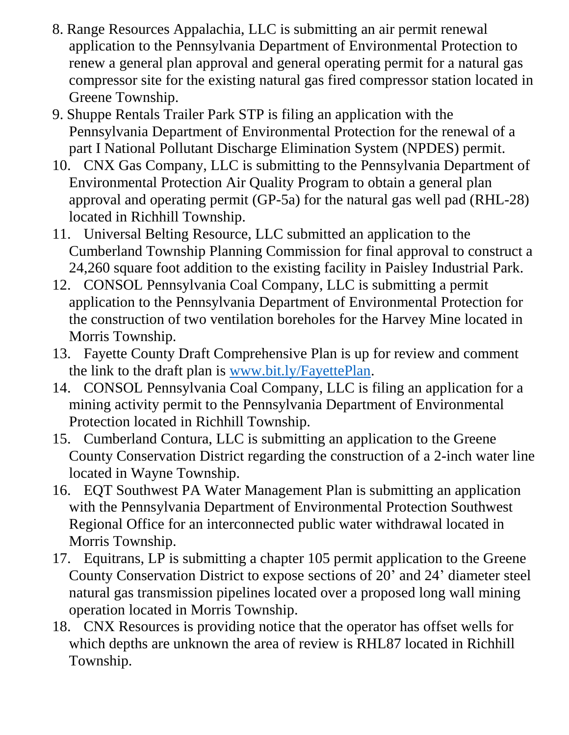- 8. Range Resources Appalachia, LLC is submitting an air permit renewal application to the Pennsylvania Department of Environmental Protection to renew a general plan approval and general operating permit for a natural gas compressor site for the existing natural gas fired compressor station located in Greene Township.
- 9. Shuppe Rentals Trailer Park STP is filing an application with the Pennsylvania Department of Environmental Protection for the renewal of a part I National Pollutant Discharge Elimination System (NPDES) permit.
- 10. CNX Gas Company, LLC is submitting to the Pennsylvania Department of Environmental Protection Air Quality Program to obtain a general plan approval and operating permit (GP-5a) for the natural gas well pad (RHL-28) located in Richhill Township.
- 11. Universal Belting Resource, LLC submitted an application to the Cumberland Township Planning Commission for final approval to construct a 24,260 square foot addition to the existing facility in Paisley Industrial Park.
- 12. CONSOL Pennsylvania Coal Company, LLC is submitting a permit application to the Pennsylvania Department of Environmental Protection for the construction of two ventilation boreholes for the Harvey Mine located in Morris Township.
- 13. Fayette County Draft Comprehensive Plan is up for review and comment the link to the draft plan is [www.bit.ly/FayettePlan.](http://www.bit.ly/FayettePlan)
- 14. CONSOL Pennsylvania Coal Company, LLC is filing an application for a mining activity permit to the Pennsylvania Department of Environmental Protection located in Richhill Township.
- 15. Cumberland Contura, LLC is submitting an application to the Greene County Conservation District regarding the construction of a 2-inch water line located in Wayne Township.
- 16. EQT Southwest PA Water Management Plan is submitting an application with the Pennsylvania Department of Environmental Protection Southwest Regional Office for an interconnected public water withdrawal located in Morris Township.
- 17. Equitrans, LP is submitting a chapter 105 permit application to the Greene County Conservation District to expose sections of 20' and 24' diameter steel natural gas transmission pipelines located over a proposed long wall mining operation located in Morris Township.
- 18. CNX Resources is providing notice that the operator has offset wells for which depths are unknown the area of review is RHL87 located in Richhill Township.